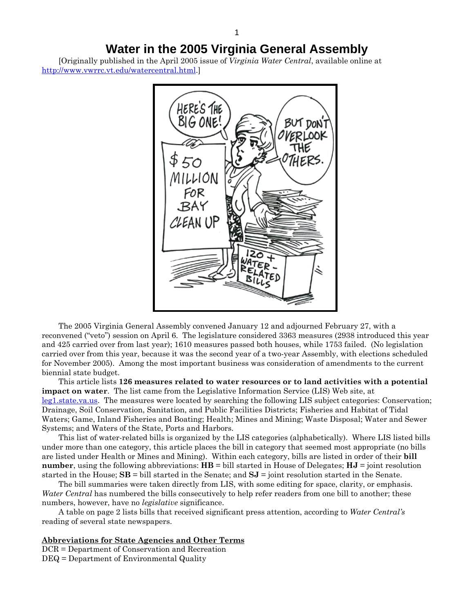# **Water in the 2005 Virginia General Assembly**

[Originally published in the April 2005 issue of *Virginia Water Central*, available online at <http://www.vwrrc.vt.edu/watercentral.html>.]



The 2005 Virginia General Assembly convened January 12 and adjourned February 27, with a reconvened ("veto") session on April 6. The legislature considered 3363 measures (2938 introduced this year and 425 carried over from last year); 1610 measures passed both houses, while 1753 failed. (No legislation carried over from this year, because it was the second year of a two-year Assembly, with elections scheduled for November 2005). Among the most important business was consideration of amendments to the current biennial state budget.

This article lists **126 measures related to water resources or to land activities with a potential impact on water**. The list came from the Legislative Information Service (LIS) Web site, at [leg1.state.va.us](http://leg1.state.va.us/). The measures were located by searching the following LIS subject categories: Conservation; Drainage, Soil Conservation, Sanitation, and Public Facilities Districts; Fisheries and Habitat of Tidal Waters; Game, Inland Fisheries and Boating; Health; Mines and Mining; Waste Disposal; Water and Sewer Systems; and Waters of the State, Ports and Harbors.

This list of water-related bills is organized by the LIS categories (alphabetically). Where LIS listed bills under more than one category, this article places the bill in category that seemed most appropriate (no bills are listed under Health or Mines and Mining). Within each category, bills are listed in order of their **bill number**, using the following abbreviations: **HB** = bill started in House of Delegates; **HJ** = joint resolution started in the House; **SB** = bill started in the Senate; and **SJ** = joint resolution started in the Senate.

The bill summaries were taken directly from LIS, with some editing for space, clarity, or emphasis. *Water Central* has numbered the bills consecutively to help refer readers from one bill to another; these numbers, however, have no *legislative* significance.

A table on page 2 lists bills that received significant press attention, according to *Water Central's* reading of several state newspapers.

#### **Abbreviations for State Agencies and Other Terms**

DCR = Department of Conservation and Recreation

DEQ = Department of Environmental Quality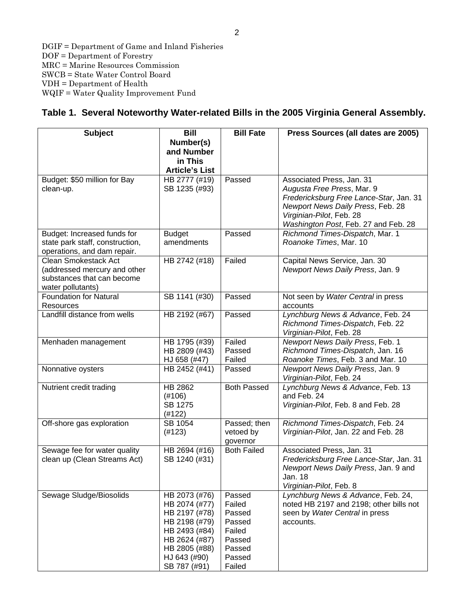DGIF = Department of Game and Inland Fisheries DOF = Department of Forestry MRC = Marine Resources Commission SWCB = State Water Control Board VDH = Department of Health WQIF = Water Quality Improvement Fund

### **Table 1. Several Noteworthy Water-related Bills in the 2005 Virginia General Assembly.**

| <b>Subject</b>                  | <b>Bill</b>           | <b>Bill Fate</b>   | Press Sources (all dates are 2005)               |
|---------------------------------|-----------------------|--------------------|--------------------------------------------------|
|                                 | Number(s)             |                    |                                                  |
|                                 | and Number            |                    |                                                  |
|                                 | in This               |                    |                                                  |
|                                 | <b>Article's List</b> |                    |                                                  |
| Budget: \$50 million for Bay    | HB 2777 (#19)         | Passed             | Associated Press, Jan. 31                        |
| clean-up.                       | SB 1235 (#93)         |                    | Augusta Free Press, Mar. 9                       |
|                                 |                       |                    | Fredericksburg Free Lance-Star, Jan. 31          |
|                                 |                       |                    | Newport News Daily Press, Feb. 28                |
|                                 |                       |                    | Virginian-Pilot, Feb. 28                         |
|                                 |                       |                    | Washington Post, Feb. 27 and Feb. 28             |
| Budget: Increased funds for     | <b>Budget</b>         | Passed             | Richmond Times-Dispatch, Mar. 1                  |
| state park staff, construction, | amendments            |                    | Roanoke Times, Mar. 10                           |
| operations, and dam repair.     |                       |                    |                                                  |
| <b>Clean Smokestack Act</b>     | HB 2742 (#18)         | Failed             | Capital News Service, Jan. 30                    |
| (addressed mercury and other    |                       |                    | Newport News Daily Press, Jan. 9                 |
| substances that can become      |                       |                    |                                                  |
| water pollutants)               |                       |                    |                                                  |
| <b>Foundation for Natural</b>   | SB 1141 (#30)         | Passed             | Not seen by Water Central in press               |
| <b>Resources</b>                |                       |                    | accounts                                         |
| Landfill distance from wells    | HB 2192 (#67)         | Passed             | Lynchburg News & Advance, Feb. 24                |
|                                 |                       |                    | Richmond Times-Dispatch, Feb. 22                 |
|                                 |                       |                    | Virginian-Pilot, Feb. 28                         |
| Menhaden management             | HB 1795 (#39)         | Failed             | Newport News Daily Press, Feb. 1                 |
|                                 | HB 2809 (#43)         | Passed             | Richmond Times-Dispatch, Jan. 16                 |
|                                 | HJ 658 (#47)          | Failed             | Roanoke Times, Feb. 3 and Mar. 10                |
| Nonnative oysters               | HB 2452 (#41)         | Passed             | Newport News Daily Press, Jan. 9                 |
|                                 |                       |                    | Virginian-Pilot, Feb. 24                         |
| Nutrient credit trading         | HB 2862               | <b>Both Passed</b> | Lynchburg News & Advance, Feb. 13<br>and Feb. 24 |
|                                 | (#106)<br>SB 1275     |                    |                                                  |
|                                 | (#122)                |                    | Virginian-Pilot, Feb. 8 and Feb. 28              |
| Off-shore gas exploration       | SB 1054               | Passed; then       | Richmond Times-Dispatch, Feb. 24                 |
|                                 | (#123)                | vetoed by          | Virginian-Pilot, Jan. 22 and Feb. 28             |
|                                 |                       | governor           |                                                  |
| Sewage fee for water quality    | HB 2694 (#16)         | <b>Both Failed</b> | Associated Press, Jan. 31                        |
| clean up (Clean Streams Act)    | SB 1240 (#31)         |                    | Fredericksburg Free Lance-Star, Jan. 31          |
|                                 |                       |                    | Newport News Daily Press, Jan. 9 and             |
|                                 |                       |                    | Jan. 18                                          |
|                                 |                       |                    | Virginian-Pilot, Feb. 8                          |
| Sewage Sludge/Biosolids         | HB 2073 (#76)         | Passed             | Lynchburg News & Advance, Feb. 24,               |
|                                 | HB 2074 (#77)         | Failed             | noted HB 2197 and 2198; other bills not          |
|                                 | HB 2197 (#78)         | Passed             | seen by Water Central in press                   |
|                                 | HB 2198 (#79)         | Passed             | accounts.                                        |
|                                 | HB 2493 (#84)         | Failed             |                                                  |
|                                 | HB 2624 (#87)         | Passed             |                                                  |
|                                 | HB 2805 (#88)         | Passed             |                                                  |
|                                 | HJ 643 (#90)          | Passed             |                                                  |
|                                 | SB 787 (#91)          | Failed             |                                                  |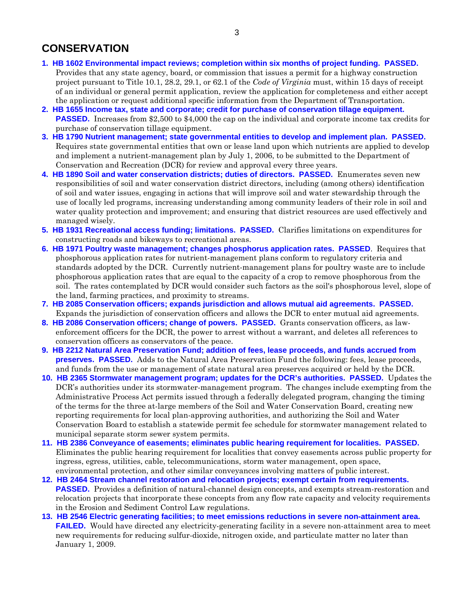# **CONSERVATION**

- **[1. HB 1602](http://leg1.state.va.us/cgi-bin/legp504.exe?051+sum+HB1602) Environmental impact reviews; completion within six months of project funding. PASSED.** Provides that any state agency, board, or commission that issues a permit for a highway construction project pursuant to Title 10.1, 28.2, 29.1, or 62.1 of the *Code of Virginia* must, within 15 days of receipt of an individual or general permit application, review the application for completeness and either accept the application or request additional specific information from the Department of Transportation.
- **[2. HB 1655](http://leg1.state.va.us/cgi-bin/legp504.exe?051+sum+HB1655) Income tax, state and corporate; credit for purchase of conservation tillage equipment. PASSED.** Increases from \$2,500 to \$4,000 the cap on the individual and corporate income tax credits for purchase of conservation tillage equipment.
- **[3. HB 1790](http://leg1.state.va.us/cgi-bin/legp504.exe?051+sum+HB1790) Nutrient management; state governmental entities to develop and implement plan. PASSED.**  Requires state governmental entities that own or lease land upon which nutrients are applied to develop and implement a nutrient-management plan by July 1, 2006, to be submitted to the Department of Conservation and Recreation (DCR) for review and approval every three years.
- **[4. HB 1890](http://leg1.state.va.us/cgi-bin/legp504.exe?051+sum+HB1890) Soil and water conservation districts; duties of directors. PASSED.** Enumerates seven new responsibilities of soil and water conservation district directors, including (among others) identification of soil and water issues, engaging in actions that will improve soil and water stewardship through the use of locally led programs, increasing understanding among community leaders of their role in soil and water quality protection and improvement; and ensuring that district resources are used effectively and managed wisely.
- **[5. HB 1931](http://leg1.state.va.us/cgi-bin/legp504.exe?051+sum+HB1931) Recreational access funding; limitations. PASSED.** Clarifies limitations on expenditures for constructing roads and bikeways to recreational areas.
- **[6. HB 1971](http://leg1.state.va.us/cgi-bin/legp504.exe?051+sum+HB1971) Poultry waste management; changes phosphorus application rates. PASSED**. Requires that phosphorous application rates for nutrient-management plans conform to regulatory criteria and standards adopted by the DCR. Currently nutrient-management plans for poultry waste are to include phosphorous application rates that are equal to the capacity of a crop to remove phosphorous from the soil. The rates contemplated by DCR would consider such factors as the soil's phosphorous level, slope of the land, farming practices, and proximity to streams.
- **[7. HB 2085](http://leg1.state.va.us/cgi-bin/legp504.exe?051+sum+HB2085) Conservation officers; expands jurisdiction and allows mutual aid agreements. PASSED.** Expands the jurisdiction of conservation officers and allows the DCR to enter mutual aid agreements.
- **[8. HB 2086](http://leg1.state.va.us/cgi-bin/legp504.exe?051+sum+HB2086) Conservation officers; change of powers. PASSED.** Grants conservation officers, as lawenforcement officers for the DCR, the power to arrest without a warrant, and deletes all references to conservation officers as conservators of the peace.
- **[9. HB 2212](http://leg1.state.va.us/cgi-bin/legp504.exe?051+sum+HB2212) Natural Area Preservation Fund; addition of fees, lease proceeds, and funds accrued from preserves. PASSED.** Adds to the Natural Area Preservation Fund the following: fees, lease proceeds, and funds from the use or management of state natural area preserves acquired or held by the DCR.
- **[10. HB 2365](http://leg1.state.va.us/cgi-bin/legp504.exe?051+sum+HB2365) Stormwater management program; updates for the DCR's authorities. PASSED.** Updates the DCR's authorities under its stormwater-management program. The changes include exempting from the Administrative Process Act permits issued through a federally delegated program, changing the timing of the terms for the three at-large members of the Soil and Water Conservation Board, creating new reporting requirements for local plan-approving authorities, and authorizing the Soil and Water Conservation Board to establish a statewide permit fee schedule for stormwater management related to municipal separate storm sewer system permits.
- **[11. HB 2386](http://leg1.state.va.us/cgi-bin/legp504.exe?051+sum+HB2386) Conveyance of easements; eliminates public hearing requirement for localities. PASSED.**  Eliminates the public hearing requirement for localities that convey easements across public property for ingress, egress, utilities, cable, telecommunications, storm water management, open space, environmental protection, and other similar conveyances involving matters of public interest.
- **[12. HB 2464](http://leg1.state.va.us/cgi-bin/legp504.exe?051+sum+HB2464) Stream channel restoration and relocation projects; exempt certain from requirements. PASSED.** Provides a definition of natural-channel design concepts, and exempts stream-restoration and relocation projects that incorporate these concepts from any flow rate capacity and velocity requirements in the Erosion and Sediment Control Law regulations.
- **[13. HB 2546](http://leg1.state.va.us/cgi-bin/legp504.exe?051+sum+HB2546) Electric generating facilities; to meet emissions reductions in severe non-attainment area. FAILED.** Would have directed any electricity-generating facility in a severe non-attainment area to meet new requirements for reducing sulfur-dioxide, nitrogen oxide, and particulate matter no later than January 1, 2009.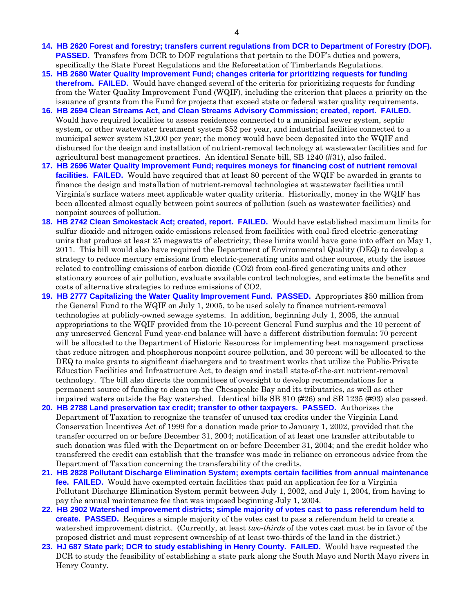- **[14. HB 2620](http://leg1.state.va.us/cgi-bin/legp504.exe?051+sum+HB2620) Forest and forestry; transfers current regulations from DCR to Department of Forestry (DOF). PASSED.** Transfers from DCR to DOF regulations that pertain to the DOF's duties and powers, specifically the State Forest Regulations and the Reforestation of Timberlands Regulations.
- **[15. HB 2680](http://leg1.state.va.us/cgi-bin/legp504.exe?051+sum+HB2680) Water Quality Improvement Fund; changes criteria for prioritizing requests for funding therefrom. FAILED.** Would have changed several of the criteria for prioritizing requests for funding from the Water Quality Improvement Fund (WQIF), including the criterion that places a priority on the issuance of grants from the Fund for projects that exceed state or federal water quality requirements.
- **[16. HB 2694](http://leg1.state.va.us/cgi-bin/legp504.exe?051+sum+HB2694) Clean Streams Act, and Clean Streams Advisory Commission; created, report. FAILED.**  Would have required localities to assess residences connected to a municipal sewer system, septic system, or other wastewater treatment system \$52 per year, and industrial facilities connected to a municipal sewer system \$1,200 per year; the money would have been deposited into the WQIF and disbursed for the design and installation of nutrient-removal technology at wastewater facilities and for agricultural best management practices. An identical Senate bill, SB 1240 (#31), also failed.
- **[17. HB 2696](http://leg1.state.va.us/cgi-bin/legp504.exe?051+sum+HB2696) Water Quality Improvement Fund; requires moneys for financing cost of nutrient removal facilities. FAILED.** Would have required that at least 80 percent of the WQIF be awarded in grants to finance the design and installation of nutrient-removal technologies at wastewater facilities until Virginia's surface waters meet applicable water quality criteria. Historically, money in the WQIF has been allocated almost equally between point sources of pollution (such as wastewater facilities) and nonpoint sources of pollution.
- **[18. HB 2742](http://leg1.state.va.us/cgi-bin/legp504.exe?051+sum+HB2742) Clean Smokestack Act; created, report. FAILED.** Would have established maximum limits for sulfur dioxide and nitrogen oxide emissions released from facilities with coal-fired electric-generating units that produce at least 25 megawatts of electricity; these limits would have gone into effect on May 1, 2011. This bill would also have required the Department of Environmental Quality (DEQ) to develop a strategy to reduce mercury emissions from electric-generating units and other sources, study the issues related to controlling emissions of carbon dioxide (CO2) from coal-fired generating units and other stationary sources of air pollution, evaluate available control technologies, and estimate the benefits and costs of alternative strategies to reduce emissions of CO2.
- **[19. HB 2777](http://leg1.state.va.us/cgi-bin/legp504.exe?051+sum+HB2777) Capitalizing the Water Quality Improvement Fund. PASSED.** Appropriates \$50 million from the General Fund to the WQIF on July 1, 2005, to be used solely to finance nutrient-removal technologies at publicly-owned sewage systems. In addition, beginning July 1, 2005, the annual appropriations to the WQIF provided from the 10-percent General Fund surplus and the 10 percent of any unreserved General Fund year-end balance will have a different distribution formula: 70 percent will be allocated to the Department of Historic Resources for implementing best management practices that reduce nitrogen and phosphorous nonpoint source pollution, and 30 percent will be allocated to the DEQ to make grants to significant dischargers and to treatment works that utilize the Public-Private Education Facilities and Infrastructure Act, to design and install state-of-the-art nutrient-removal technology. The bill also directs the committees of oversight to develop recommendations for a permanent source of funding to clean up the Chesapeake Bay and its tributaries, as well as other impaired waters outside the Bay watershed. Identical bills SB 810 (#26) and SB 1235 (#93) also passed.
- **[20. HB 2788](http://leg1.state.va.us/cgi-bin/legp504.exe?051+sum+HB2788) Land preservation tax credit; transfer to other taxpayers. PASSED.** Authorizes the Department of Taxation to recognize the transfer of unused tax credits under the Virginia Land Conservation Incentives Act of 1999 for a donation made prior to January 1, 2002, provided that the transfer occurred on or before December 31, 2004; notification of at least one transfer attributable to such donation was filed with the Department on or before December 31, 2004; and the credit holder who transferred the credit can establish that the transfer was made in reliance on erroneous advice from the Department of Taxation concerning the transferability of the credits.
- **[21. HB 2828](http://leg1.state.va.us/cgi-bin/legp504.exe?051+sum+HB2828) Pollutant Discharge Elimination System; exempts certain facilities from annual maintenance fee. FAILED.** Would have exempted certain facilities that paid an application fee for a Virginia Pollutant Discharge Elimination System permit between July 1, 2002, and July 1, 2004, from having to pay the annual maintenance fee that was imposed beginning July 1, 2004.
- **[22. HB 2902](http://leg1.state.va.us/cgi-bin/legp504.exe?051+sum+HB2902) Watershed improvement districts; simple majority of votes cast to pass referendum held to create. PASSED.** Requires a simple majority of the votes cast to pass a referendum held to create a watershed improvement district. (Currently, at least *two-thirds* of the votes cast must be in favor of the proposed district and must represent ownership of at least two-thirds of the land in the district.)
- **[23. HJ 687](http://leg1.state.va.us/cgi-bin/legp504.exe?051+sum+HJ687) State park; DCR to study establishing in Henry County. FAILED.** Would have requested the DCR to study the feasibility of establishing a state park along the South Mayo and North Mayo rivers in Henry County.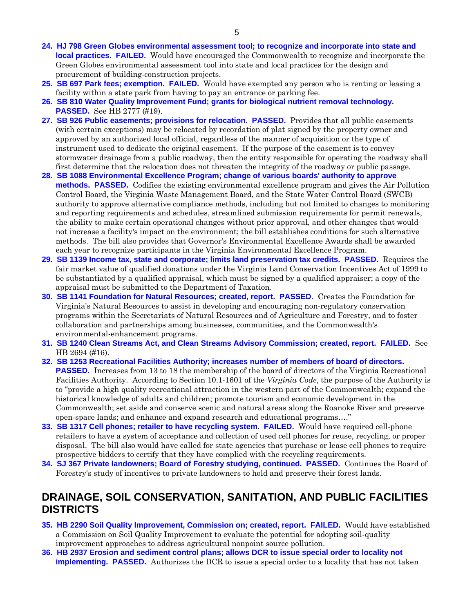- **[24. HJ 798](http://leg1.state.va.us/cgi-bin/legp504.exe?051+sum+HJ798) Green Globes environmental assessment tool; to recognize and incorporate into state and local practices. FAILED.** Would have encouraged the Commonwealth to recognize and incorporate the Green Globes environmental assessment tool into state and local practices for the design and procurement of building-construction projects.
- **[25. SB 697](http://leg1.state.va.us/cgi-bin/legp504.exe?051+sum+SB697) Park fees; exemption. FAILED.** Would have exempted any person who is renting or leasing a facility within a state park from having to pay an entrance or parking fee.
- **[26. SB 810](http://leg1.state.va.us/cgi-bin/legp504.exe?051+sum+SB810) Water Quality Improvement Fund; grants for biological nutrient removal technology. PASSED.** See HB 2777 (#19).
- **[27. SB 926](http://leg1.state.va.us/cgi-bin/legp504.exe?051+sum+SB926) Public easements; provisions for relocation. PASSED.** Provides that all public easements (with certain exceptions) may be relocated by recordation of plat signed by the property owner and approved by an authorized local official, regardless of the manner of acquisition or the type of instrument used to dedicate the original easement. If the purpose of the easement is to convey stormwater drainage from a public roadway, then the entity responsible for operating the roadway shall first determine that the relocation does not threaten the integrity of the roadway or public passage.
- **[28. SB 1088](http://leg1.state.va.us/cgi-bin/legp504.exe?051+sum+SB1088) Environmental Excellence Program; change of various boards' authority to approve methods. PASSED.** Codifies the existing environmental excellence program and gives the Air Pollution Control Board, the Virginia Waste Management Board, and the State Water Control Board (SWCB) authority to approve alternative compliance methods, including but not limited to changes to monitoring and reporting requirements and schedules, streamlined submission requirements for permit renewals, the ability to make certain operational changes without prior approval, and other changes that would not increase a facility's impact on the environment; the bill establishes conditions for such alternative methods. The bill also provides that Governor's Environmental Excellence Awards shall be awarded each year to recognize participants in the Virginia Environmental Excellence Program.
- **[29. SB 1139](http://leg1.state.va.us/cgi-bin/legp504.exe?051+sum+SB1139) Income tax, state and corporate; limits land preservation tax credits. PASSED.** Requires the fair market value of qualified donations under the Virginia Land Conservation Incentives Act of 1999 to be substantiated by a qualified appraisal, which must be signed by a qualified appraiser; a copy of the appraisal must be submitted to the Department of Taxation.
- **[30. SB 1141](http://leg1.state.va.us/cgi-bin/legp504.exe?051+sum+SB1141) Foundation for Natural Resources; created, report. PASSED.** Creates the Foundation for Virginia's Natural Resources to assist in developing and encouraging non-regulatory conservation programs within the Secretariats of Natural Resources and of Agriculture and Forestry, and to foster collaboration and partnerships among businesses, communities, and the Commonwealth's environmental-enhancement programs.
- **[31. SB 1240](http://leg1.state.va.us/cgi-bin/legp504.exe?051+sum+SB1240) Clean Streams Act, and Clean Streams Advisory Commission; created, report. FAILED.** See HB 2694 (#16).
- **[32. SB 1253](http://leg1.state.va.us/cgi-bin/legp504.exe?051+sum+SB1253) Recreational Facilities Authority; increases number of members of board of directors. PASSED.** Increases from 13 to 18 the membership of the board of directors of the Virginia Recreational Facilities Authority. According to Section 10.1-1601 of the *Virginia Code*, the purpose of the Authority is to "provide a high quality recreational attraction in the western part of the Commonwealth; expand the historical knowledge of adults and children; promote tourism and economic development in the Commonwealth; set aside and conserve scenic and natural areas along the Roanoke River and preserve open-space lands; and enhance and expand research and educational programs…."
- **[33. SB 1317](http://leg1.state.va.us/cgi-bin/legp504.exe?051+sum+SB1317) Cell phones; retailer to have recycling system. FAILED.** Would have required cell-phone retailers to have a system of acceptance and collection of used cell phones for reuse, recycling, or proper disposal. The bill also would have called for state agencies that purchase or lease cell phones to require prospective bidders to certify that they have complied with the recycling requirements.
- **[34. SJ 367](http://leg1.state.va.us/cgi-bin/legp504.exe?051+sum+SJ367) Private landowners; Board of Forestry studying, continued. PASSED.** Continues the Board of Forestry's study of incentives to private landowners to hold and preserve their forest lands.

# **DRAINAGE, SOIL CONSERVATION, SANITATION, AND PUBLIC FACILITIES DISTRICTS**

- **[35. HB 2290](http://leg1.state.va.us/cgi-bin/legp504.exe?051+sum+HB2290) Soil Quality Improvement, Commission on; created, report. FAILED.** Would have established a Commission on Soil Quality Improvement to evaluate the potential for adopting soil-quality improvement approaches to address agricultural nonpoint source pollution.
- **[36. HB 2937](http://leg1.state.va.us/cgi-bin/legp504.exe?051+sum+HB2937) Erosion and sediment control plans; allows DCR to issue special order to locality not implementing. PASSED.** Authorizes the DCR to issue a special order to a locality that has not taken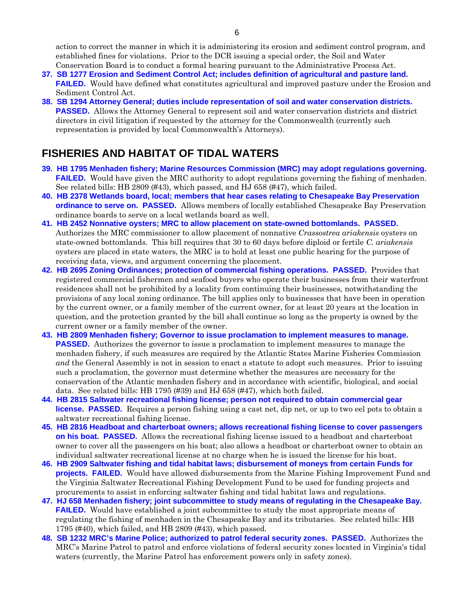action to correct the manner in which it is administering its erosion and sediment control program, and established fines for violations. Prior to the DCR issuing a special order, the Soil and Water Conservation Board is to conduct a formal hearing pursuant to the Administrative Process Act.

- **[37. SB 1277](http://leg1.state.va.us/cgi-bin/legp504.exe?051+sum+SB1277) Erosion and Sediment Control Act; includes definition of agricultural and pasture land. FAILED.** Would have defined what constitutes agricultural and improved pasture under the Erosion and Sediment Control Act.
- **[38. SB 1294](http://leg1.state.va.us/cgi-bin/legp504.exe?051+sum+SB1294) Attorney General; duties include representation of soil and water conservation districts. PASSED.** Allows the Attorney General to represent soil and water conservation districts and district directors in civil litigation if requested by the attorney for the Commonwealth (currently such representation is provided by local Commonwealth's Attorneys).

# **FISHERIES AND HABITAT OF TIDAL WATERS**

- **[39. HB 1795](http://leg1.state.va.us/cgi-bin/legp504.exe?051+sum+HB1795) Menhaden fishery; Marine Resources Commission (MRC) may adopt regulations governing. FAILED.** Would have given the MRC authority to adopt regulations governing the fishing of menhaden. See related bills: HB 2809 (#43), which passed, and HJ 658 (#47), which failed.
- **[40. HB 2378](http://leg1.state.va.us/cgi-bin/legp504.exe?051+sum+HB2378) Wetlands board, local; members that hear cases relating to Chesapeake Bay Preservation ordinance to serve on. PASSED.** Allows members of locally established Chesapeake Bay Preservation ordinance boards to serve on a local wetlands board as well.
- **[41. HB 2452](http://leg1.state.va.us/cgi-bin/legp504.exe?051+sum+HB2452) Nonnative oysters; MRC to allow placement on state-owned bottomlands. PASSED.**  Authorizes the MRC commissioner to allow placement of nonnative *Crassostrea ariakensis* oysters on state-owned bottomlands. This bill requires that 30 to 60 days before diploid or fertile *C. ariakensis* oysters are placed in state waters, the MRC is to hold at least one public hearing for the purpose of receiving data, views, and argument concerning the placement.
- **[42. HB 2695](http://leg1.state.va.us/cgi-bin/legp504.exe?051+sum+HB2695) Zoning Ordinances; protection of commercial fishing operations. PASSED.** Provides that registered commercial fishermen and seafood buyers who operate their businesses from their waterfront residences shall not be prohibited by a locality from continuing their businesses, notwithstanding the provisions of any local zoning ordinance. The bill applies only to businesses that have been in operation by the current owner, or a family member of the current owner, for at least 20 years at the location in question, and the protection granted by the bill shall continue so long as the property is owned by the current owner or a family member of the owner.
- **[43. HB 2809](http://leg1.state.va.us/cgi-bin/legp504.exe?051+sum+HB2809) Menhaden fishery; Governor to issue proclamation to implement measures to manage. PASSED.** Authorizes the governor to issue a proclamation to implement measures to manage the menhaden fishery, if such measures are required by the Atlantic States Marine Fisheries Commission *and* the General Assembly is not in session to enact a statute to adopt such measures. Prior to issuing such a proclamation, the governor must determine whether the measures are necessary for the conservation of the Atlantic menhaden fishery and in accordance with scientific, biological, and social data. See related bills: HB 1795 (#39) and HJ 658 (#47), which both failed.
- **[44. HB 2815](http://leg1.state.va.us/cgi-bin/legp504.exe?051+sum+HB2815) Saltwater recreational fishing license; person not required to obtain commercial gear license. PASSED.** Requires a person fishing using a cast net, dip net, or up to two eel pots to obtain a saltwater recreational fishing license.
- **[45. HB 2816](http://leg1.state.va.us/cgi-bin/legp504.exe?051+sum+HB2816) Headboat and charterboat owners; allows recreational fishing license to cover passengers on his boat. PASSED.** Allows the recreational fishing license issued to a headboat and charterboat owner to cover all the passengers on his boat; also allows a headboat or charterboat owner to obtain an individual saltwater recreational license at no charge when he is issued the license for his boat.
- **[46. HB 2909](http://leg1.state.va.us/cgi-bin/legp504.exe?051+sum+HB2909) Saltwater fishing and tidal habitat laws; disbursement of moneys from certain Funds for projects. FAILED.** Would have allowed disbursements from the Marine Fishing Improvement Fund and the Virginia Saltwater Recreational Fishing Development Fund to be used for funding projects and procurements to assist in enforcing saltwater fishing and tidal habitat laws and regulations.
- **[47. HJ 658](http://leg1.state.va.us/cgi-bin/legp504.exe?051+sum+HJ658) Menhaden fishery; joint subcommittee to study means of regulating in the Chesapeake Bay. FAILED.** Would have established a joint subcommittee to study the most appropriate means of regulating the fishing of menhaden in the Chesapeake Bay and its tributaries. See related bills: HB 1795 (#40), which failed, and HB 2809 (#43), which passed.
- **[48. SB 1232](http://leg1.state.va.us/cgi-bin/legp504.exe?051+sum+SB1232) MRC's Marine Police; authorized to patrol federal security zones. PASSED.** Authorizes the MRC's Marine Patrol to patrol and enforce violations of federal security zones located in Virginia's tidal waters (currently, the Marine Patrol has enforcement powers only in safety zones).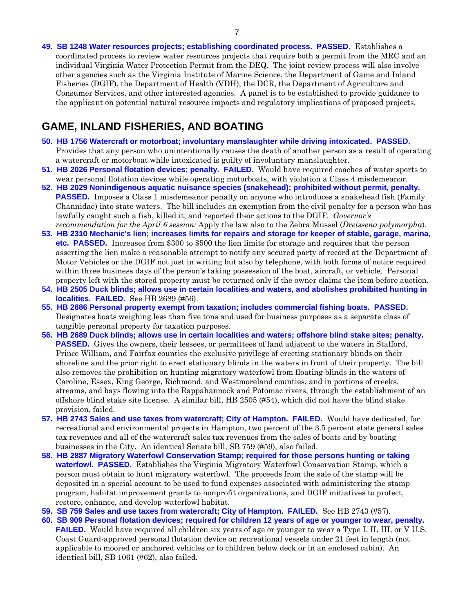**[49. SB 1248](http://leg1.state.va.us/cgi-bin/legp504.exe?051+sum+SB1248) Water resources projects; establishing coordinated process. PASSED.** Establishes a coordinated process to review water resources projects that require both a permit from the MRC and an individual Virginia Water Protection Permit from the DEQ. The joint review process will also involve other agencies such as the Virginia Institute of Marine Science, the Department of Game and Inland Fisheries (DGIF), the Department of Health (VDH), the DCR, the Department of Agriculture and Consumer Services, and other interested agencies. A panel is to be established to provide guidance to the applicant on potential natural resource impacts and regulatory implications of proposed projects.

### **GAME, INLAND FISHERIES, AND BOATING**

- **[50. HB 1756](http://leg1.state.va.us/cgi-bin/legp504.exe?051+sum+HB1756) Watercraft or motorboat; involuntary manslaughter while driving intoxicated. PASSED.**  Provides that any person who unintentionally causes the death of another person as a result of operating a watercraft or motorboat while intoxicated is guilty of involuntary manslaughter.
- **[51. HB 2026](http://leg1.state.va.us/cgi-bin/legp504.exe?051+sum+HB2026) Personal flotation devices; penalty. FAILED.** Would have required coaches of water sports to wear personal flotation devices while operating motorboats, with violation a Class 4 misdemeanor.
- **[52. HB 2029](http://leg1.state.va.us/cgi-bin/legp504.exe?051+sum+HB2029) Nonindigenous aquatic nuisance species (snakehead); prohibited without permit, penalty. PASSED.** Imposes a Class 1 misdemeanor penalty on anyone who introduces a snakehead fish (Family Channidae) into state waters. The bill includes an exemption from the civil penalty for a person who has lawfully caught such a fish, killed it, and reported their actions to the DGIF. *Governor's recommendation for the April 6 session:* Apply the law also to the Zebra Mussel (*Dreissena polymorpha*).
- **[53. HB 2310](http://leg1.state.va.us/cgi-bin/legp504.exe?051+sum+HB2310) Mechanic's lien; increases limits for repairs and storage for keeper of stable, garage, marina, etc. PASSED.** Increases from \$300 to \$500 the lien limits for storage and requires that the person asserting the lien make a reasonable attempt to notify any secured party of record at the Department of Motor Vehicles or the DGIF not just in writing but also by telephone, with both forms of notice required within three business days of the person's taking possession of the boat, aircraft, or vehicle. Personal property left with the stored property must be returned only if the owner claims the item before auction.
- **[54. HB 2505](http://leg1.state.va.us/cgi-bin/legp504.exe?051+sum+HB2505) Duck blinds; allows use in certain localities and waters, and abolishes prohibited hunting in localities. FAILED.** See HB 2689 (#56).
- **[55. HB 2686](http://leg1.state.va.us/cgi-bin/legp504.exe?051+sum+HB2686) Personal property exempt from taxation; includes commercial fishing boats. PASSED.**  Designates boats weighing less than five tons and used for business purposes as a separate class of tangible personal property for taxation purposes.
- **[56. HB 2689](http://leg1.state.va.us/cgi-bin/legp504.exe?051+sum+HB2689) Duck blinds; allows use in certain localities and waters; offshore blind stake sites; penalty. PASSED.** Gives the owners, their lessees, or permittees of land adjacent to the waters in Stafford, Prince William, and Fairfax counties the exclusive privilege of erecting stationary blinds on their shoreline and the prior right to erect stationary blinds in the waters in front of their property. The bill also removes the prohibition on hunting migratory waterfowl from floating blinds in the waters of Caroline, Essex, King George, Richmond, and Westmoreland counties, and in portions of creeks, streams, and bays flowing into the Rappahannock and Potomac rivers, through the establishment of an offshore blind stake site license. A similar bill, HB 2505 (#54), which did not have the blind stake provision, failed.
- **[57. HB 2743](http://leg1.state.va.us/cgi-bin/legp504.exe?051+sum+HB2743) Sales and use taxes from watercraft; City of Hampton. FAILED.** Would have dedicated, for recreational and environmental projects in Hampton, two percent of the 3.5 percent state general sales tax revenues and all of the watercraft sales tax revenues from the sales of boats and by boating businesses in the City. An identical Senate bill, SB 759 (#59), also failed.
- **[58. HB 2887](http://leg1.state.va.us/cgi-bin/legp504.exe?051+sum+HB2887) Migratory Waterfowl Conservation Stamp; required for those persons hunting or taking waterfowl. PASSED.** Establishes the Virginia Migratory Waterfowl Conservation Stamp, which a person must obtain to hunt migratory waterfowl. The proceeds from the sale of the stamp will be deposited in a special account to be used to fund expenses associated with administering the stamp program, habitat improvement grants to nonprofit organizations, and DGIF initiatives to protect, restore, enhance, and develop waterfowl habitat.
- **[59. SB 759](http://leg1.state.va.us/cgi-bin/legp504.exe?051+sum+SB759) Sales and use taxes from watercraft; City of Hampton. FAILED.** See HB 2743 (#57).
- **[60. SB 909](http://leg1.state.va.us/cgi-bin/legp504.exe?051+sum+SB909) Personal flotation devices; required for children 12 years of age or younger to wear, penalty. FAILED.** Would have required all children six years of age or younger to wear a Type I, II, III, or V U.S. Coast Guard-approved personal flotation device on recreational vessels under 21 feet in length (not applicable to moored or anchored vehicles or to children below deck or in an enclosed cabin). An identical bill, SB 1061 (#62), also failed.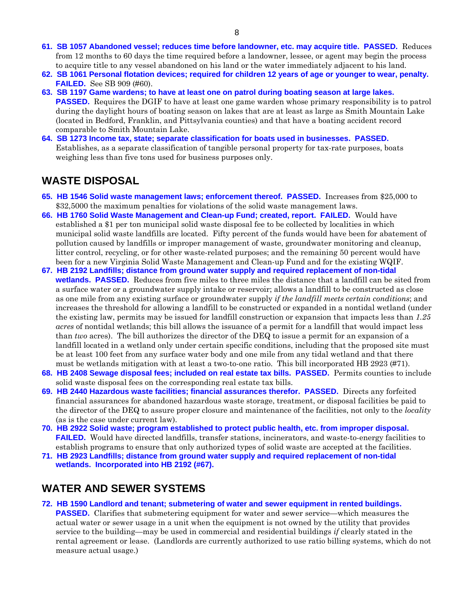- **[61. SB 1057](http://leg1.state.va.us/cgi-bin/legp504.exe?051+sum+SB1057) Abandoned vessel; reduces time before landowner, etc. may acquire title. PASSED.** Reduces from 12 months to 60 days the time required before a landowner, lessee, or agent may begin the process to acquire title to any vessel abandoned on his land or the water immediately adjacent to his land.
- **[62. SB 1061](http://leg1.state.va.us/cgi-bin/legp504.exe?051+sum+SB1061) Personal flotation devices; required for children 12 years of age or younger to wear, penalty. FAILED.** See SB 909 (#60).
- **[63. SB 1197](http://leg1.state.va.us/cgi-bin/legp504.exe?051+sum+SB1197) Game wardens; to have at least one on patrol during boating season at large lakes. PASSED.** Requires the DGIF to have at least one game warden whose primary responsibility is to patrol during the daylight hours of boating season on lakes that are at least as large as Smith Mountain Lake (located in Bedford, Franklin, and Pittsylvania counties) and that have a boating accident record comparable to Smith Mountain Lake.
- **[64. SB 1273](http://leg1.state.va.us/cgi-bin/legp504.exe?051+sum+SB1273) Income tax, state; separate classification for boats used in businesses. PASSED.**  Establishes, as a separate classification of tangible personal property for tax-rate purposes, boats weighing less than five tons used for business purposes only.

## **WASTE DISPOSAL**

- **[65. HB 1546](http://leg1.state.va.us/cgi-bin/legp504.exe?051+sum+HB1546) Solid waste management laws; enforcement thereof. PASSED.** Increases from \$25,000 to \$32,5000 the maximum penalties for violations of the solid waste management laws.
- **[66. HB 1760](http://leg1.state.va.us/cgi-bin/legp504.exe?051+sum+HB1760) Solid Waste Management and Clean-up Fund; created, report. FAILED.** Would have established a \$1 per ton municipal solid waste disposal fee to be collected by localities in which municipal solid waste landfills are located. Fifty percent of the funds would have been for abatement of pollution caused by landfills or improper management of waste, groundwater monitoring and cleanup, litter control, recycling, or for other waste-related purposes; and the remaining 50 percent would have been for a new Virginia Solid Waste Management and Clean-up Fund and for the existing WQIF.
- **[67. HB 2192](http://leg1.state.va.us/cgi-bin/legp504.exe?051+sum+HB2192) Landfills; distance from ground water supply and required replacement of non-tidal wetlands. PASSED.** Reduces from five miles to three miles the distance that a landfill can be sited from a surface water or a groundwater supply intake or reservoir; allows a landfill to be constructed as close as one mile from any existing surface or groundwater supply *if the landfill meets certain conditions*; and increases the threshold for allowing a landfill to be constructed or expanded in a nontidal wetland (under the existing law, permits may be issued for landfill construction or expansion that impacts less than *1.25 acres* of nontidal wetlands; this bill allows the issuance of a permit for a landfill that would impact less than *two* acres). The bill authorizes the director of the DEQ to issue a permit for an expansion of a landfill located in a wetland only under certain specific conditions, including that the proposed site must be at least 100 feet from any surface water body and one mile from any tidal wetland and that there must be wetlands mitigation with at least a two-to-one ratio. This bill incorporated HB 2923 (#71).
- **[68. HB 2408](http://leg1.state.va.us/cgi-bin/legp504.exe?051+sum+HB2408) Sewage disposal fees; included on real estate tax bills. PASSED.** Permits counties to include solid waste disposal fees on the corresponding real estate tax bills.
- **[69. HB 2440](http://leg1.state.va.us/cgi-bin/legp504.exe?051+sum+HB2440) Hazardous waste facilities; financial assurances therefor. PASSED.** Directs any forfeited financial assurances for abandoned hazardous waste storage, treatment, or disposal facilities be paid to the director of the DEQ to assure proper closure and maintenance of the facilities, not only to the *locality*  (as is the case under current law).
- **[70. HB 2922](http://leg1.state.va.us/cgi-bin/legp504.exe?051+sum+HB2922) Solid waste; program established to protect public health, etc. from improper disposal. FAILED.** Would have directed landfills, transfer stations, incinerators, and waste-to-energy facilities to establish programs to ensure that only authorized types of solid waste are accepted at the facilities.
- **[71. HB 2923](http://leg1.state.va.us/cgi-bin/legp504.exe?051+sum+HB2923) Landfills; distance from ground water supply and required replacement of non-tidal wetlands. Incorporated into HB 2192 (#67).**

## **WATER AND SEWER SYSTEMS**

**[72. HB 1590](http://leg1.state.va.us/cgi-bin/legp504.exe?051+sum+HB1590) Landlord and tenant; submetering of water and sewer equipment in rented buildings. PASSED.** Clarifies that submetering equipment for water and sewer service—which measures the actual water or sewer usage in a unit when the equipment is not owned by the utility that provides service to the building—may be used in commercial and residential buildings *if* clearly stated in the rental agreement or lease. (Landlords are currently authorized to use ratio billing systems, which do not measure actual usage.)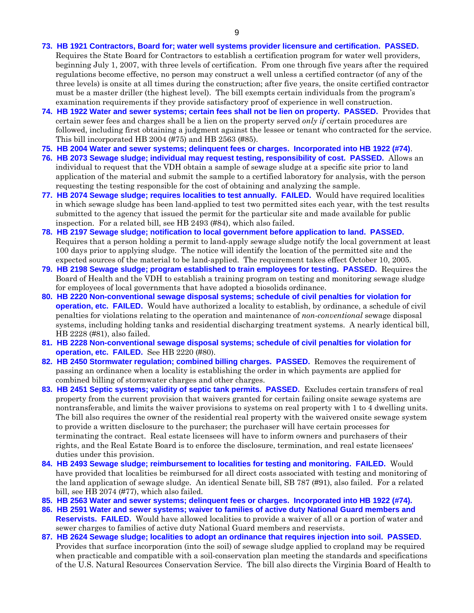#### **[73. HB 1921](http://leg1.state.va.us/cgi-bin/legp504.exe?051+sum+HB1921) Contractors, Board for; water well systems provider licensure and certification. PASSED.**

Requires the State Board for Contractors to establish a certification program for water well providers, beginning July 1, 2007, with three levels of certification. From one through five years after the required regulations become effective, no person may construct a well unless a certified contractor (of any of the three levels) is onsite at all times during the construction; after five years, the onsite certified contractor must be a master driller (the highest level). The bill exempts certain individuals from the program's examination requirements if they provide satisfactory proof of experience in well construction.

- **[74. HB 1922](http://leg1.state.va.us/cgi-bin/legp504.exe?051+sum+HB1922) Water and sewer systems; certain fees shall not be lien on property. PASSED.** Provides that certain sewer fees and charges shall be a lien on the property served *only if* certain procedures are followed, including first obtaining a judgment against the lessee or tenant who contracted for the service. This bill incorporated HB 2004 (#75) and HB 2563 (#85).
- **[75. HB 2004](http://leg1.state.va.us/cgi-bin/legp504.exe?051+sum+HB2004) Water and sewer systems; delinquent fees or charges. Incorporated into HB 1922 (#74)**.
- **[76. HB 2073](http://leg1.state.va.us/cgi-bin/legp504.exe?051+sum+HB2073) Sewage sludge; individual may request testing, responsibility of cost. PASSED.** Allows an individual to request that the VDH obtain a sample of sewage sludge at a specific site prior to land application of the material and submit the sample to a certified laboratory for analysis, with the person requesting the testing responsible for the cost of obtaining and analyzing the sample.
- **[77. HB 2074](http://leg1.state.va.us/cgi-bin/legp504.exe?051+sum+HB2074) Sewage sludge; requires localities to test annually. FAILED.** Would have required localities in which sewage sludge has been land-applied to test two permitted sites each year, with the test results submitted to the agency that issued the permit for the particular site and made available for public inspection. For a related bill, see HB 2493 (#84), which also failed.
- **[78. HB 2197](http://leg1.state.va.us/cgi-bin/legp504.exe?051+sum+HB2197) Sewage sludge; notification to local government before application to land. PASSED.**  Requires that a person holding a permit to land-apply sewage sludge notify the local government at least 100 days prior to applying sludge. The notice will identify the location of the permitted site and the expected sources of the material to be land-applied. The requirement takes effect October 10, 2005.
- **[79. HB 2198](http://leg1.state.va.us/cgi-bin/legp504.exe?051+sum+HB2198) Sewage sludge; program established to train employees for testing. PASSED.** Requires the Board of Health and the VDH to establish a training program on testing and monitoring sewage sludge for employees of local governments that have adopted a biosolids ordinance.
- **[80. HB 2220](http://leg1.state.va.us/cgi-bin/legp504.exe?051+sum+HB2220) Non-conventional sewage disposal systems; schedule of civil penalties for violation for operation, etc. FAILED.** Would have authorized a locality to establish, by ordinance, a schedule of civil penalties for violations relating to the operation and maintenance of *non-conventional* sewage disposal systems, including holding tanks and residential discharging treatment systems. A nearly identical bill, HB 2228 (#81), also failed.
- **[81. HB 2228](http://leg1.state.va.us/cgi-bin/legp504.exe?051+sum+HB2228) Non-conventional sewage disposal systems; schedule of civil penalties for violation for operation, etc. FAILED.** See HB 2220 (#80).
- **[82. HB 2450](http://leg1.state.va.us/cgi-bin/legp504.exe?051+sum+HB2450) Stormwater regulation; combined billing charges. PASSED.** Removes the requirement of passing an ordinance when a locality is establishing the order in which payments are applied for combined billing of stormwater charges and other charges.
- **[83. HB 2451](http://leg1.state.va.us/cgi-bin/legp504.exe?051+sum+HB2451) Septic systems; validity of septic tank permits. PASSED.** Excludes certain transfers of real property from the current provision that waivers granted for certain failing onsite sewage systems are nontransferable, and limits the waiver provisions to systems on real property with 1 to 4 dwelling units. The bill also requires the owner of the residential real property with the waivered onsite sewage system to provide a written disclosure to the purchaser; the purchaser will have certain processes for terminating the contract. Real estate licensees will have to inform owners and purchasers of their rights, and the Real Estate Board is to enforce the disclosure, termination, and real estate licensees' duties under this provision.
- **[84. HB 2493](http://leg1.state.va.us/cgi-bin/legp504.exe?051+sum+HB2493) Sewage sludge; reimbursement to localities for testing and monitoring. FAILED.** Would have provided that localities be reimbursed for all direct costs associated with testing and monitoring of the land application of sewage sludge. An identical Senate bill, SB 787 (#91), also failed. For a related bill, see HB 2074 (#77), which also failed.
- **[85. HB 2563](http://leg1.state.va.us/cgi-bin/legp504.exe?051+sum+HB2563) Water and sewer systems; delinquent fees or charges. Incorporated into HB 1922 (#74).**
- **[86. HB 2591](http://leg1.state.va.us/cgi-bin/legp504.exe?051+sum+HB2591) Water and sewer systems; waiver to families of active duty National Guard members and Reservists. FAILED.** Would have allowed localities to provide a waiver of all or a portion of water and sewer charges to families of active duty National Guard members and reservists.
- **[87. HB 2624](http://leg1.state.va.us/cgi-bin/legp504.exe?051+sum+HB2624) Sewage sludge; localities to adopt an ordinance that requires injection into soil. PASSED.**  Provides that surface incorporation (into the soil) of sewage sludge applied to cropland may be required when practicable and compatible with a soil-conservation plan meeting the standards and specifications of the U.S. Natural Resources Conservation Service. The bill also directs the Virginia Board of Health to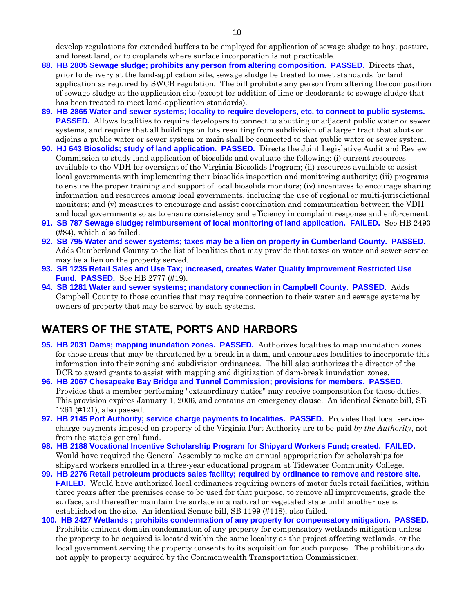develop regulations for extended buffers to be employed for application of sewage sludge to hay, pasture, and forest land, or to croplands where surface incorporation is not practicable.

- **[88. HB 2805](http://leg1.state.va.us/cgi-bin/legp504.exe?051+sum+HB2805) Sewage sludge; prohibits any person from altering composition. PASSED.** Directs that, prior to delivery at the land-application site, sewage sludge be treated to meet standards for land application as required by SWCB regulation*.* The bill prohibits any person from altering the composition of sewage sludge at the application site (except for addition of lime or deodorants to sewage sludge that has been treated to meet land-application standards).
- **[89. HB 2865](http://leg1.state.va.us/cgi-bin/legp504.exe?051+sum+HB2865) Water and sewer systems; locality to require developers, etc. to connect to public systems. PASSED.** Allows localities to require developers to connect to abutting or adjacent public water or sewer systems, and require that all buildings on lots resulting from subdivision of a larger tract that abuts or adjoins a public water or sewer system or main shall be connected to that public water or sewer system.
- **[90. HJ 643](http://leg1.state.va.us/cgi-bin/legp504.exe?051+sum+HJ643) Biosolids; study of land application. PASSED.** Directs the Joint Legislative Audit and Review Commission to study land application of biosolids and evaluate the following: (i) current resources available to the VDH for oversight of the Virginia Biosolids Program; (ii) resources available to assist local governments with implementing their biosolids inspection and monitoring authority; (iii) programs to ensure the proper training and support of local biosolids monitors; (iv) incentives to encourage sharing information and resources among local governments, including the use of regional or multi-jurisdictional monitors; and (v) measures to encourage and assist coordination and communication between the VDH and local governments so as to ensure consistency and efficiency in complaint response and enforcement.
- **[91. SB 787](http://leg1.state.va.us/cgi-bin/legp504.exe?051+sum+SB787) Sewage sludge; reimbursement of local monitoring of land application. FAILED.** See HB 2493 (#84), which also failed.
- **[92. SB 795](http://leg1.state.va.us/cgi-bin/legp504.exe?051+sum+SB795) Water and sewer systems; taxes may be a lien on property in Cumberland County. PASSED.**  Adds Cumberland County to the list of localities that may provide that taxes on water and sewer service may be a lien on the property served.
- **[93. SB 1235](http://leg1.state.va.us/cgi-bin/legp504.exe?051+sum+SB1235) Retail Sales and Use Tax; increased, creates Water Quality Improvement Restricted Use Fund. PASSED.** See HB 2777 (#19).
- **[94. SB 1281](http://leg1.state.va.us/cgi-bin/legp504.exe?051+sum+SB1281) Water and sewer systems; mandatory connection in Campbell County. PASSED.** Adds Campbell County to those counties that may require connection to their water and sewage systems by owners of property that may be served by such systems.

## **WATERS OF THE STATE, PORTS AND HARBORS**

- **[95. HB 2031](http://leg1.state.va.us/cgi-bin/legp504.exe?051+sum+HB2031) Dams; mapping inundation zones. PASSED.** Authorizes localities to map inundation zones for those areas that may be threatened by a break in a dam, and encourages localities to incorporate this information into their zoning and subdivision ordinances. The bill also authorizes the director of the DCR to award grants to assist with mapping and digitization of dam-break inundation zones.
- **[96. HB 2067](http://leg1.state.va.us/cgi-bin/legp504.exe?051+sum+HB2067) Chesapeake Bay Bridge and Tunnel Commission; provisions for members. PASSED.**  Provides that a member performing "extraordinary duties" may receive compensation for those duties. This provision expires January 1, 2006, and contains an emergency clause. An identical Senate bill, SB 1261 (#121), also passed.
- **[97. HB 2145](http://leg1.state.va.us/cgi-bin/legp504.exe?051+sum+HB2145) Port Authority; service charge payments to localities. PASSED.** Provides that local servicecharge payments imposed on property of the Virginia Port Authority are to be paid *by the Authority*, not from the state's general fund.
- **[98. HB 2188](http://leg1.state.va.us/cgi-bin/legp504.exe?051+sum+HB2188) Vocational Incentive Scholarship Program for Shipyard Workers Fund; created. FAILED.**  Would have required the General Assembly to make an annual appropriation for scholarships for shipyard workers enrolled in a three-year educational program at Tidewater Community College.
- **[99. HB 2276](http://leg1.state.va.us/cgi-bin/legp504.exe?051+sum+HB2276) Retail petroleum products sales facility; required by ordinance to remove and restore site. FAILED.** Would have authorized local ordinances requiring owners of motor fuels retail facilities, within three years after the premises cease to be used for that purpose, to remove all improvements, grade the surface, and thereafter maintain the surface in a natural or vegetated state until another use is established on the site. An identical Senate bill, SB 1199 (#118), also failed.
- **[100. HB 2427](http://leg1.state.va.us/cgi-bin/legp504.exe?051+sum+HB2427) Wetlands ; prohibits condemnation of any property for compensatory mitigation. PASSED.**  Prohibits eminent-domain condemnation of any property for compensatory wetlands mitigation unless the property to be acquired is located within the same locality as the project affecting wetlands, or the local government serving the property consents to its acquisition for such purpose. The prohibitions do not apply to property acquired by the Commonwealth Transportation Commissioner.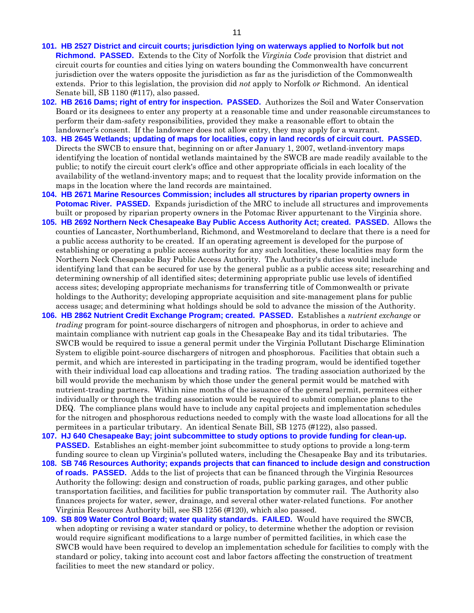- **[101. HB 2527](http://leg1.state.va.us/cgi-bin/legp504.exe?051+sum+HB2527) District and circuit courts; jurisdiction lying on waterways applied to Norfolk but not Richmond. PASSED.** Extends to the City of Norfolk the *Virginia Code* provision that district and circuit courts for counties and cities lying on waters bounding the Commonwealth have concurrent jurisdiction over the waters opposite the jurisdiction as far as the jurisdiction of the Commonwealth extends. Prior to this legislation, the provision did *not* apply to Norfolk *or* Richmond. An identical Senate bill, SB 1180 (#117), also passed.
- **[102. HB 2616](http://leg1.state.va.us/cgi-bin/legp504.exe?051+sum+HB2616) Dams; right of entry for inspection. PASSED.** Authorizes the Soil and Water Conservation Board or its designees to enter any property at a reasonable time and under reasonable circumstances to perform their dam-safety responsibilities, provided they make a reasonable effort to obtain the landowner's consent. If the landowner does not allow entry, they may apply for a warrant.
- **[103. HB 2645](http://leg1.state.va.us/cgi-bin/legp504.exe?051+sum+HB2645) Wetlands; updating of maps for localities, copy in land records of circuit court. PASSED.**  Directs the SWCB to ensure that, beginning on or after January 1, 2007, wetland-inventory maps identifying the location of nontidal wetlands maintained by the SWCB are made readily available to the public; to notify the circuit court clerk's office and other appropriate officials in each locality of the availability of the wetland-inventory maps; and to request that the locality provide information on the maps in the location where the land records are maintained.
- **[104. HB 2671](http://leg1.state.va.us/cgi-bin/legp504.exe?051+sum+HB2671) Marine Resources Commission; includes all structures by riparian property owners in Potomac River. PASSED.** Expands jurisdiction of the MRC to include all structures and improvements built or proposed by riparian property owners in the Potomac River appurtenant to the Virginia shore.
- **[105. HB 2692](http://leg1.state.va.us/cgi-bin/legp504.exe?051+sum+HB2692) Northern Neck Chesapeake Bay Public Access Authority Act; created. PASSED.** Allows the counties of Lancaster, Northumberland, Richmond, and Westmoreland to declare that there is a need for a public access authority to be created. If an operating agreement is developed for the purpose of establishing or operating a public access authority for any such localities, these localities may form the Northern Neck Chesapeake Bay Public Access Authority. The Authority's duties would include identifying land that can be secured for use by the general public as a public access site; researching and determining ownership of all identified sites; determining appropriate public use levels of identified access sites; developing appropriate mechanisms for transferring title of Commonwealth or private holdings to the Authority; developing appropriate acquisition and site-management plans for public access usage; and determining what holdings should be sold to advance the mission of the Authority.
- **[106. HB 2862](http://leg1.state.va.us/cgi-bin/legp504.exe?051+sum+HB2862) Nutrient Credit Exchange Program; created. PASSED.** Establishes a *nutrient exchange* or *trading* program for point-source dischargers of nitrogen and phosphorus, in order to achieve and maintain compliance with nutrient cap goals in the Chesapeake Bay and its tidal tributaries. The SWCB would be required to issue a general permit under the Virginia Pollutant Discharge Elimination System to eligible point-source dischargers of nitrogen and phosphorous. Facilities that obtain such a permit, and which are interested in participating in the trading program, would be identified together with their individual load cap allocations and trading ratios. The trading association authorized by the bill would provide the mechanism by which those under the general permit would be matched with nutrient-trading partners. Within nine months of the issuance of the general permit, permitees either individually or through the trading association would be required to submit compliance plans to the DEQ. The compliance plans would have to include any capital projects and implementation schedules for the nitrogen and phosphorous reductions needed to comply with the waste load allocations for all the permitees in a particular tributary. An identical Senate Bill, SB 1275 (#122), also passed.

**[107. HJ 640](http://leg1.state.va.us/cgi-bin/legp504.exe?051+sum+HJ640) Chesapeake Bay; joint subcommittee to study options to provide funding for clean-up. PASSED.** Establishes an eight-member joint subcommittee to study options to provide a long-term funding source to clean up Virginia's polluted waters, including the Chesapeake Bay and its tributaries.

- **[108. SB 746](http://leg1.state.va.us/cgi-bin/legp504.exe?051+sum+SB746) Resources Authority; expands projects that can financed to include design and construction of roads. PASSED.** Adds to the list of projects that can be financed through the Virginia Resources Authority the following: design and construction of roads, public parking garages, and other public transportation facilities, and facilities for public transportation by commuter rail. The Authority also finances projects for water, sewer, drainage, and several other water-related functions. For another Virginia Resources Authority bill, see SB 1256 (#120), which also passed.
- **[109. SB 809](http://leg1.state.va.us/cgi-bin/legp504.exe?051+sum+SB809) Water Control Board; water quality standards. FAILED.** Would have required the SWCB, when adopting or revising a water standard or policy, to determine whether the adoption or revision would require significant modifications to a large number of permitted facilities, in which case the SWCB would have been required to develop an implementation schedule for facilities to comply with the standard or policy, taking into account cost and labor factors affecting the construction of treatment facilities to meet the new standard or policy.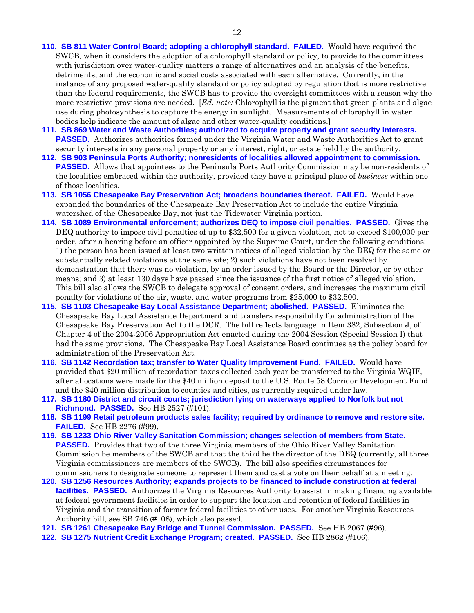- **[110. SB 811](http://leg1.state.va.us/cgi-bin/legp504.exe?051+sum+SB811) Water Control Board; adopting a chlorophyll standard. FAILED.** Would have required the SWCB, when it considers the adoption of a chlorophyll standard or policy, to provide to the committees with jurisdiction over water-quality matters a range of alternatives and an analysis of the benefits, detriments, and the economic and social costs associated with each alternative. Currently, in the instance of any proposed water-quality standard or policy adopted by regulation that is more restrictive than the federal requirements, the SWCB has to provide the oversight committees with a reason why the more restrictive provisions are needed. [*Ed. note:* Chlorophyll is the pigment that green plants and algae use during photosynthesis to capture the energy in sunlight. Measurements of chlorophyll in water bodies help indicate the amount of algae and other water-quality conditions.]
- **[111. SB 869](http://leg1.state.va.us/cgi-bin/legp504.exe?051+sum+SB869) Water and Waste Authorities; authorized to acquire property and grant security interests. PASSED.** Authorizes authorities formed under the Virginia Water and Waste Authorities Act to grant security interests in any personal property or any interest, right, or estate held by the authority.
- **[112. SB 903](http://leg1.state.va.us/cgi-bin/legp504.exe?051+sum+SB903) Peninsula Ports Authority; nonresidents of localities allowed appointment to commission. PASSED.** Allows that appointees to the Peninsula Ports Authority Commission may be non-residents of the localities embraced within the authority, provided they have a principal place of *business* within one of those localities.
- **[113. SB 1056](http://leg1.state.va.us/cgi-bin/legp504.exe?051+sum+SB1056) Chesapeake Bay Preservation Act; broadens boundaries thereof. FAILED.** Would have expanded the boundaries of the Chesapeake Bay Preservation Act to include the entire Virginia watershed of the Chesapeake Bay, not just the Tidewater Virginia portion.
- **[114. SB 1089](http://leg1.state.va.us/cgi-bin/legp504.exe?051+sum+SB1089) Environmental enforcement; authorizes DEQ to impose civil penalties. PASSED.** Gives the DEQ authority to impose civil penalties of up to \$32,500 for a given violation, not to exceed \$100,000 per order, after a hearing before an officer appointed by the Supreme Court, under the following conditions: 1) the person has been issued at least two written notices of alleged violation by the DEQ for the same or substantially related violations at the same site; 2) such violations have not been resolved by demonstration that there was no violation, by an order issued by the Board or the Director, or by other means; and 3) at least 130 days have passed since the issuance of the first notice of alleged violation. This bill also allows the SWCB to delegate approval of consent orders, and increases the maximum civil penalty for violations of the air, waste, and water programs from \$25,000 to \$32,500.
- **[115. SB 1103](http://leg1.state.va.us/cgi-bin/legp504.exe?051+sum+SB1103) Chesapeake Bay Local Assistance Department; abolished. PASSED.** Eliminates the Chesapeake Bay Local Assistance Department and transfers responsibility for administration of the Chesapeake Bay Preservation Act to the DCR. The bill reflects language in Item 382, Subsection J, of Chapter 4 of the 2004-2006 Appropriation Act enacted during the 2004 Session (Special Session I) that had the same provisions. The Chesapeake Bay Local Assistance Board continues as the policy board for administration of the Preservation Act.
- **[116. SB 1142](http://leg1.state.va.us/cgi-bin/legp504.exe?051+sum+SB1142) Recordation tax; transfer to Water Quality Improvement Fund. FAILED.** Would have provided that \$20 million of recordation taxes collected each year be transferred to the Virginia WQIF, after allocations were made for the \$40 million deposit to the U.S. Route 58 Corridor Development Fund and the \$40 million distribution to counties and cities, as currently required under law.
- **[117. SB 1180](http://leg1.state.va.us/cgi-bin/legp504.exe?051+sum+SB1180) District and circuit courts; jurisdiction lying on waterways applied to Norfolk but not Richmond. PASSED.** See HB 2527 (#101).
- **[118. SB 1199](http://leg1.state.va.us/cgi-bin/legp504.exe?051+sum+SB1199) Retail petroleum products sales facility; required by ordinance to remove and restore site. FAILED.** See HB 2276 (#99).
- **[119. SB 1233](http://leg1.state.va.us/cgi-bin/legp504.exe?051+sum+SB1233) Ohio River Valley Sanitation Commission; changes selection of members from State. PASSED.** Provides that two of the three Virginia members of the Ohio River Valley Sanitation Commission be members of the SWCB and that the third be the director of the DEQ (currently, all three Virginia commissioners are members of the SWCB). The bill also specifies circumstances for commissioners to designate someone to represent them and cast a vote on their behalf at a meeting.
- **[120. SB 1256](http://leg1.state.va.us/cgi-bin/legp504.exe?051+sum+SB1256) Resources Authority; expands projects to be financed to include construction at federal facilities. PASSED.** Authorizes the Virginia Resources Authority to assist in making financing available at federal government facilities in order to support the location and retention of federal facilities in Virginia and the transition of former federal facilities to other uses. For another Virginia Resources Authority bill, see SB 746 (#108), which also passed.
- **[121. SB 1261](http://leg1.state.va.us/cgi-bin/legp504.exe?051+sum+SB1261) Chesapeake Bay Bridge and Tunnel Commission. PASSED.** See HB 2067 (#96).
- **[122. SB 1275](http://leg1.state.va.us/cgi-bin/legp504.exe?051+sum+SB1275) Nutrient Credit Exchange Program; created. PASSED.** See HB 2862 (#106).